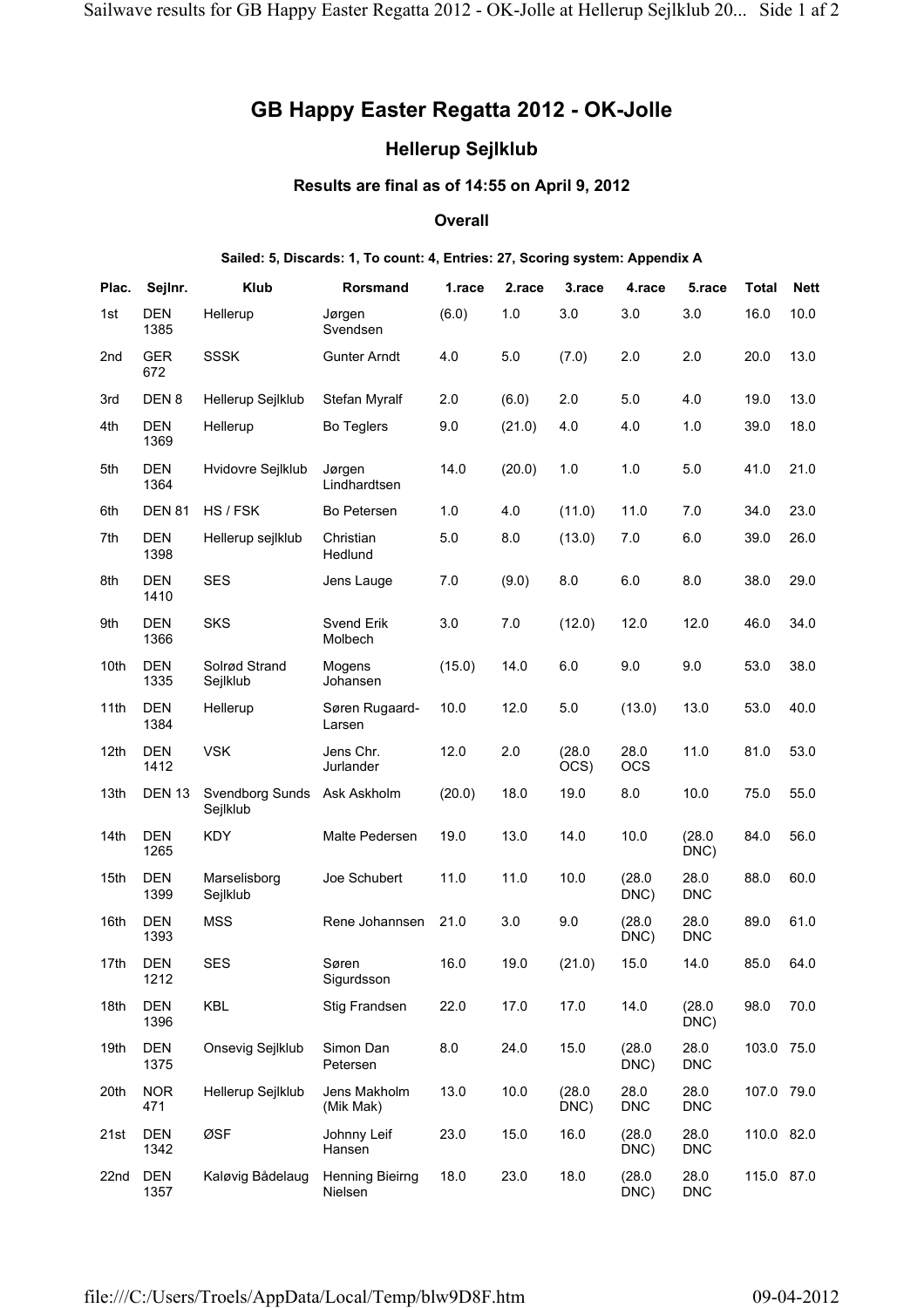# **GB Happy Easter Regatta 2012 - OK-Jolle**

## **Hellerup Sejlklub**

### **Results are final as of 14:55 on April 9, 2012**

### **Overall**

#### **Sailed: 5, Discards: 1, To count: 4, Entries: 27, Scoring system: Appendix A**

| Plac. | Sejlnr.            | <b>Klub</b>                        | Rorsmand                          | 1.race | 2.race | 3.race         | 4.race             | 5.race             | <b>Total</b> | <b>Nett</b> |
|-------|--------------------|------------------------------------|-----------------------------------|--------|--------|----------------|--------------------|--------------------|--------------|-------------|
| 1st   | <b>DEN</b><br>1385 | Hellerup                           | Jørgen<br>Svendsen                | (6.0)  | 1.0    | 3.0            | 3.0                | 3.0                | 16.0         | 10.0        |
| 2nd   | <b>GER</b><br>672  | <b>SSSK</b>                        | <b>Gunter Arndt</b>               | 4.0    | 5.0    | (7.0)          | 2.0                | 2.0                | 20.0         | 13.0        |
| 3rd   | DEN <sub>8</sub>   | Hellerup Sejlklub                  | Stefan Myralf                     | 2.0    | (6.0)  | 2.0            | 5.0                | 4.0                | 19.0         | 13.0        |
| 4th   | <b>DEN</b><br>1369 | Hellerup                           | <b>Bo Teglers</b>                 | 9.0    | (21.0) | 4.0            | 4.0                | 1.0                | 39.0         | 18.0        |
| 5th   | <b>DEN</b><br>1364 | Hvidovre Sejlklub                  | Jørgen<br>Lindhardtsen            | 14.0   | (20.0) | 1.0            | 1.0                | 5.0                | 41.0         | 21.0        |
| 6th   | <b>DEN 81</b>      | HS / FSK                           | Bo Petersen                       | 1.0    | 4.0    | (11.0)         | 11.0               | 7.0                | 34.0         | 23.0        |
| 7th   | <b>DEN</b><br>1398 | Hellerup sejlklub                  | Christian<br>Hedlund              | 5.0    | 8.0    | (13.0)         | 7.0                | 6.0                | 39.0         | 26.0        |
| 8th   | <b>DEN</b><br>1410 | <b>SES</b>                         | Jens Lauge                        | 7.0    | (9.0)  | 8.0            | 6.0                | 8.0                | 38.0         | 29.0        |
| 9th   | <b>DEN</b><br>1366 | <b>SKS</b>                         | <b>Svend Erik</b><br>Molbech      | 3.0    | 7.0    | (12.0)         | 12.0               | 12.0               | 46.0         | 34.0        |
| 10th  | <b>DEN</b><br>1335 | Solrød Strand<br>Sejlklub          | Mogens<br>Johansen                | (15.0) | 14.0   | 6.0            | 9.0                | 9.0                | 53.0         | 38.0        |
| 11th  | <b>DEN</b><br>1384 | Hellerup                           | Søren Rugaard-<br>Larsen          | 10.0   | 12.0   | 5.0            | (13.0)             | 13.0               | 53.0         | 40.0        |
| 12th  | <b>DEN</b><br>1412 | <b>VSK</b>                         | Jens Chr.<br>Jurlander            | 12.0   | 2.0    | (28.0)<br>OCS) | 28.0<br><b>OCS</b> | 11.0               | 81.0         | 53.0        |
| 13th  | <b>DEN 13</b>      | <b>Svendborg Sunds</b><br>Sejlklub | Ask Askholm                       | (20.0) | 18.0   | 19.0           | 8.0                | 10.0               | 75.0         | 55.0        |
| 14th  | <b>DEN</b><br>1265 | <b>KDY</b>                         | Malte Pedersen                    | 19.0   | 13.0   | 14.0           | 10.0               | (28.0)<br>DNC)     | 84.0         | 56.0        |
| 15th  | <b>DEN</b><br>1399 | Marselisborg<br>Sejlklub           | Joe Schubert                      | 11.0   | 11.0   | 10.0           | (28.0)<br>DNC)     | 28.0<br><b>DNC</b> | 88.0         | 60.0        |
| 16th  | <b>DEN</b><br>1393 | <b>MSS</b>                         | Rene Johannsen                    | 21.0   | 3.0    | 9.0            | (28.0)<br>DNC)     | 28.0<br><b>DNC</b> | 89.0         | 61.0        |
| 17th  | <b>DEN</b><br>1212 | <b>SES</b>                         | Søren<br>Sigurdsson               | 16.0   | 19.0   | (21.0)         | 15.0               | 14.0               | 85.0         | 64.0        |
| 18th  | <b>DEN</b><br>1396 | KBL                                | Stig Frandsen                     | 22.0   | 17.0   | 17.0           | 14.0               | (28.0)<br>DNC)     | 98.0         | 70.0        |
| 19th  | <b>DEN</b><br>1375 | Onsevig Sejlklub                   | Simon Dan<br>Petersen             | 8.0    | 24.0   | 15.0           | (28.0)<br>DNC)     | 28.0<br><b>DNC</b> | 103.0 75.0   |             |
| 20th  | <b>NOR</b><br>471  | Hellerup Sejlklub                  | Jens Makholm<br>(Mik Mak)         | 13.0   | 10.0   | (28.0)<br>DNC) | 28.0<br><b>DNC</b> | 28.0<br><b>DNC</b> | 107.0 79.0   |             |
| 21st  | <b>DEN</b><br>1342 | ØSF                                | Johnny Leif<br>Hansen             | 23.0   | 15.0   | 16.0           | (28.0)<br>DNC)     | 28.0<br><b>DNC</b> | 110.0 82.0   |             |
| 22nd  | <b>DEN</b><br>1357 | Kaløvig Bådelaug                   | <b>Henning Bieirng</b><br>Nielsen | 18.0   | 23.0   | 18.0           | (28.0)<br>DNC)     | 28.0<br><b>DNC</b> | 115.0 87.0   |             |